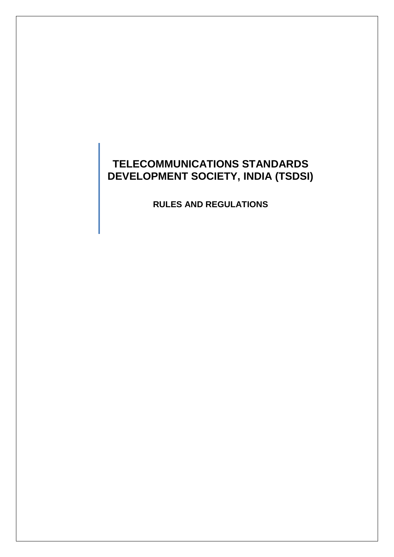# **TELECOMMUNICATIONS STANDARDS DEVELOPMENT SOCIETY, INDIA (TSDSI)**

**RULES AND REGULATIONS**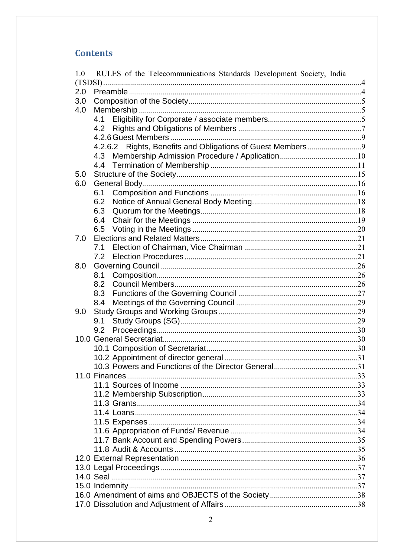# **Contents**

| 1.0 | RULES of the Telecommunications Standards Development Society, India |  |  |  |
|-----|----------------------------------------------------------------------|--|--|--|
| 2.0 |                                                                      |  |  |  |
| 3.0 |                                                                      |  |  |  |
| 4.0 |                                                                      |  |  |  |
|     | 4.1                                                                  |  |  |  |
|     |                                                                      |  |  |  |
|     |                                                                      |  |  |  |
|     | 4.2.6.2 Rights, Benefits and Obligations of Guest Members9           |  |  |  |
|     |                                                                      |  |  |  |
|     |                                                                      |  |  |  |
| 5.0 |                                                                      |  |  |  |
| 6.0 |                                                                      |  |  |  |
|     | 6.1                                                                  |  |  |  |
|     | 6.2                                                                  |  |  |  |
|     | 6.3                                                                  |  |  |  |
|     | 6.4                                                                  |  |  |  |
|     | 6.5                                                                  |  |  |  |
| 7.0 |                                                                      |  |  |  |
|     | 7.1                                                                  |  |  |  |
|     | 7.2                                                                  |  |  |  |
| 8.0 |                                                                      |  |  |  |
|     | 8.1                                                                  |  |  |  |
|     |                                                                      |  |  |  |
|     | 8.3                                                                  |  |  |  |
|     | 8.4                                                                  |  |  |  |
| 9.0 |                                                                      |  |  |  |
|     | 9.1                                                                  |  |  |  |
|     | 9.2                                                                  |  |  |  |
|     |                                                                      |  |  |  |
|     |                                                                      |  |  |  |
|     |                                                                      |  |  |  |
|     |                                                                      |  |  |  |
|     |                                                                      |  |  |  |
|     |                                                                      |  |  |  |
|     |                                                                      |  |  |  |
|     |                                                                      |  |  |  |
|     |                                                                      |  |  |  |
|     |                                                                      |  |  |  |
|     |                                                                      |  |  |  |
|     |                                                                      |  |  |  |
|     |                                                                      |  |  |  |
|     |                                                                      |  |  |  |
|     |                                                                      |  |  |  |
|     |                                                                      |  |  |  |
|     |                                                                      |  |  |  |
|     |                                                                      |  |  |  |
|     |                                                                      |  |  |  |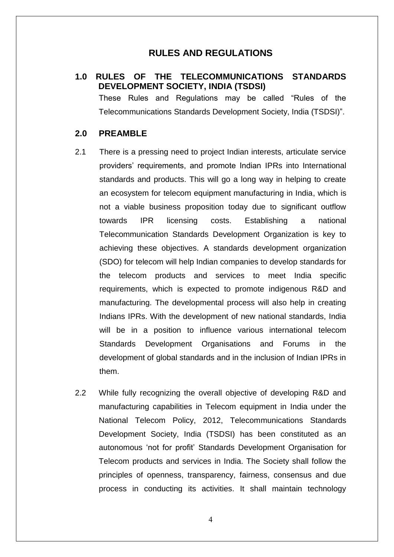# **RULES AND REGULATIONS**

# <span id="page-3-0"></span>**1.0 RULES OF THE TELECOMMUNICATIONS STANDARDS DEVELOPMENT SOCIETY, INDIA (TSDSI)**

These Rules and Regulations may be called "Rules of the Telecommunications Standards Development Society, India (TSDSI)".

### <span id="page-3-1"></span>**2.0 PREAMBLE**

- 2.1 There is a pressing need to project Indian interests, articulate service providers" requirements, and promote Indian IPRs into International standards and products. This will go a long way in helping to create an ecosystem for telecom equipment manufacturing in India, which is not a viable business proposition today due to significant outflow towards IPR licensing costs. Establishing a national Telecommunication Standards Development Organization is key to achieving these objectives. A standards development organization (SDO) for telecom will help Indian companies to develop standards for the telecom products and services to meet India specific requirements, which is expected to promote indigenous R&D and manufacturing. The developmental process will also help in creating Indians IPRs. With the development of new national standards, India will be in a position to influence various international telecom Standards Development Organisations and Forums in the development of global standards and in the inclusion of Indian IPRs in them.
- 2.2 While fully recognizing the overall objective of developing R&D and manufacturing capabilities in Telecom equipment in India under the National Telecom Policy, 2012, Telecommunications Standards Development Society, India (TSDSI) has been constituted as an autonomous "not for profit" Standards Development Organisation for Telecom products and services in India. The Society shall follow the principles of openness, transparency, fairness, consensus and due process in conducting its activities. It shall maintain technology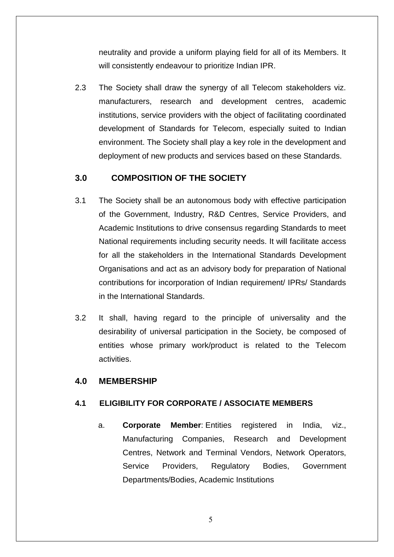neutrality and provide a uniform playing field for all of its Members. It will consistently endeavour to prioritize Indian IPR.

2.3 The Society shall draw the synergy of all Telecom stakeholders viz. manufacturers, research and development centres, academic institutions, service providers with the object of facilitating coordinated development of Standards for Telecom, especially suited to Indian environment. The Society shall play a key role in the development and deployment of new products and services based on these Standards.

# <span id="page-4-0"></span>**3.0 COMPOSITION OF THE SOCIETY**

- 3.1 The Society shall be an autonomous body with effective participation of the Government, Industry, R&D Centres, Service Providers, and Academic Institutions to drive consensus regarding Standards to meet National requirements including security needs. It will facilitate access for all the stakeholders in the International Standards Development Organisations and act as an advisory body for preparation of National contributions for incorporation of Indian requirement/ IPRs/ Standards in the International Standards.
- 3.2 It shall, having regard to the principle of universality and the desirability of universal participation in the Society, be composed of entities whose primary work/product is related to the Telecom activities.

# <span id="page-4-1"></span>**4.0 MEMBERSHIP**

# <span id="page-4-2"></span>**4.1 ELIGIBILITY FOR CORPORATE / ASSOCIATE MEMBERS**

a. **Corporate Member**: Entities registered in India, viz., Manufacturing Companies, Research and Development Centres, Network and Terminal Vendors, Network Operators, Service Providers, Regulatory Bodies, Government Departments/Bodies, Academic Institutions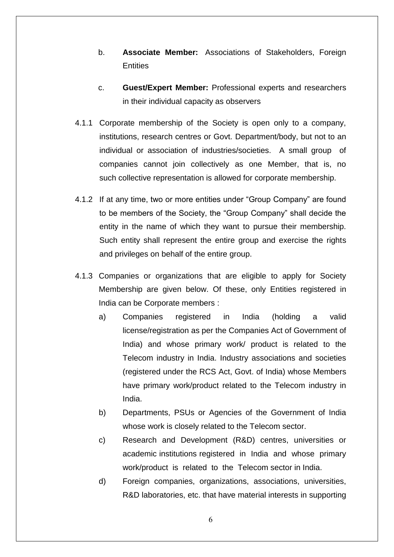- b. **Associate Member:** Associations of Stakeholders, Foreign **Entities**
- c. **Guest/Expert Member:** Professional experts and researchers in their individual capacity as observers
- 4.1.1 Corporate membership of the Society is open only to a company, institutions, research centres or Govt. Department/body, but not to an individual or association of industries/societies. A small group of companies cannot join collectively as one Member, that is, no such collective representation is allowed for corporate membership.
- 4.1.2 If at any time, two or more entities under "Group Company" are found to be members of the Society, the "Group Company" shall decide the entity in the name of which they want to pursue their membership. Such entity shall represent the entire group and exercise the rights and privileges on behalf of the entire group.
- 4.1.3 Companies or organizations that are eligible to apply for Society Membership are given below. Of these, only Entities registered in India can be Corporate members :
	- a) Companies registered in India (holding a valid license/registration as per the Companies Act of Government of India) and whose primary work/ product is related to the Telecom industry in India. Industry associations and societies (registered under the RCS Act, Govt. of India) whose Members have primary work/product related to the Telecom industry in India.
	- b) Departments, PSUs or Agencies of the Government of India whose work is closely related to the Telecom sector.
	- c) Research and Development (R&D) centres, universities or academic institutions registered in India and whose primary work/product is related to the Telecom sector in India.
	- d) Foreign companies, organizations, associations, universities, R&D laboratories, etc. that have material interests in supporting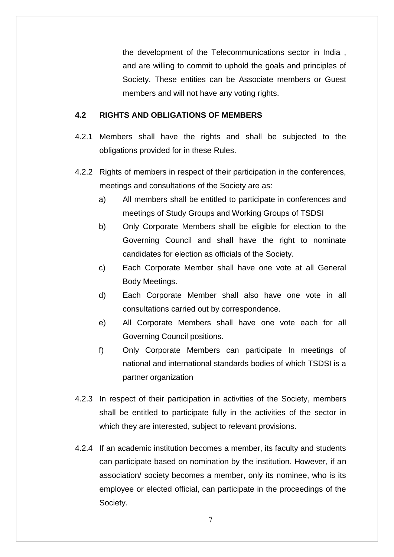the development of the Telecommunications sector in India , and are willing to commit to uphold the goals and principles of Society. These entities can be Associate members or Guest members and will not have any voting rights.

### <span id="page-6-0"></span>**4.2 RIGHTS AND OBLIGATIONS OF MEMBERS**

- 4.2.1 Members shall have the rights and shall be subjected to the obligations provided for in these Rules.
- 4.2.2 Rights of members in respect of their participation in the conferences, meetings and consultations of the Society are as:
	- a) All members shall be entitled to participate in conferences and meetings of Study Groups and Working Groups of TSDSI
	- b) Only Corporate Members shall be eligible for election to the Governing Council and shall have the right to nominate candidates for election as officials of the Society.
	- c) Each Corporate Member shall have one vote at all General Body Meetings.
	- d) Each Corporate Member shall also have one vote in all consultations carried out by correspondence.
	- e) All Corporate Members shall have one vote each for all Governing Council positions.
	- f) Only Corporate Members can participate In meetings of national and international standards bodies of which TSDSI is a partner organization
- 4.2.3 In respect of their participation in activities of the Society, members shall be entitled to participate fully in the activities of the sector in which they are interested, subject to relevant provisions.
- 4.2.4 If an academic institution becomes a member, its faculty and students can participate based on nomination by the institution. However, if an association/ society becomes a member, only its nominee, who is its employee or elected official, can participate in the proceedings of the Society.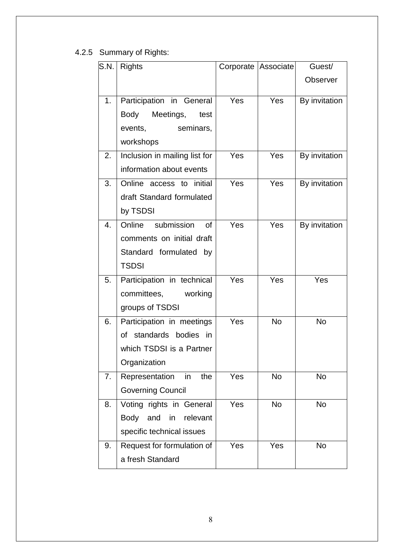# 4.2.5 Summary of Rights:

| S.N. | <b>Rights</b>                 | Corporate   Associate |            | Guest/          |
|------|-------------------------------|-----------------------|------------|-----------------|
|      |                               |                       |            | <b>Observer</b> |
| 1.   | Participation in General      | <b>Yes</b>            | Yes        | By invitation   |
|      | Body<br>test                  |                       |            |                 |
|      | Meetings,                     |                       |            |                 |
|      | events,<br>seminars,          |                       |            |                 |
|      | workshops                     |                       |            |                 |
| 2.   | Inclusion in mailing list for | Yes                   | <b>Yes</b> | By invitation   |
|      | information about events      |                       |            |                 |
| 3.   | Online access to<br>initial   | Yes                   | <b>Yes</b> | By invitation   |
|      | draft Standard formulated     |                       |            |                 |
|      | by TSDSI                      |                       |            |                 |
| 4.   | submission<br>Online<br>0f    | Yes                   | Yes        | By invitation   |
|      | comments on initial draft     |                       |            |                 |
|      | Standard formulated by        |                       |            |                 |
|      | <b>TSDSI</b>                  |                       |            |                 |
| 5.   | Participation in technical    | Yes                   | Yes        | Yes             |
|      | committees,<br>working        |                       |            |                 |
|      | groups of TSDSI               |                       |            |                 |
| 6.   | Participation in meetings     | Yes                   | <b>No</b>  | <b>No</b>       |
|      | standards bodies in<br>of     |                       |            |                 |
|      | which TSDSI is a Partner      |                       |            |                 |
|      | Organization                  |                       |            |                 |
| 7.   | Representation<br>in<br>the   | Yes                   | <b>No</b>  | <b>No</b>       |
|      | <b>Governing Council</b>      |                       |            |                 |
| 8.   | Voting rights in General      | <b>Yes</b>            | <b>No</b>  | <b>No</b>       |
|      | Body and<br>in<br>relevant    |                       |            |                 |
|      | specific technical issues     |                       |            |                 |
| 9.   | Request for formulation of    | Yes                   | Yes        | <b>No</b>       |
|      | a fresh Standard              |                       |            |                 |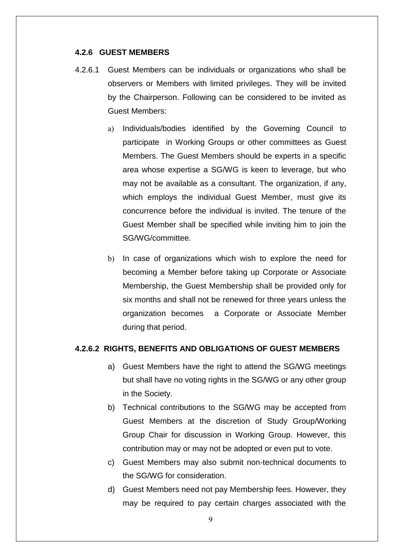#### <span id="page-8-0"></span>**4.2.6 GUEST MEMBERS**

- 4.2.6.1 Guest Members can be individuals or organizations who shall be observers or Members with limited privileges. They will be invited by the Chairperson. Following can be considered to be invited as Guest Members:
	- a) Individuals/bodies identified by the Governing Council to participate in Working Groups or other committees as Guest Members. The Guest Members should be experts in a specific area whose expertise a SG/WG is keen to leverage, but who may not be available as a consultant. The organization, if any, which employs the individual Guest Member, must give its concurrence before the individual is invited. The tenure of the Guest Member shall be specified while inviting him to join the SG/WG/committee.
	- b) In case of organizations which wish to explore the need for becoming a Member before taking up Corporate or Associate Membership, the Guest Membership shall be provided only for six months and shall not be renewed for three years unless the organization becomes a Corporate or Associate Member during that period.

# **4.2.6.2 RIGHTS, BENEFITS AND OBLIGATIONS OF GUEST MEMBERS**

- <span id="page-8-1"></span>a) Guest Members have the right to attend the SG/WG meetings but shall have no voting rights in the SG/WG or any other group in the Society.
- b) Technical contributions to the SG/WG may be accepted from Guest Members at the discretion of Study Group/Working Group Chair for discussion in Working Group. However, this contribution may or may not be adopted or even put to vote.
- c) Guest Members may also submit non-technical documents to the SG/WG for consideration.
- d) Guest Members need not pay Membership fees. However, they may be required to pay certain charges associated with the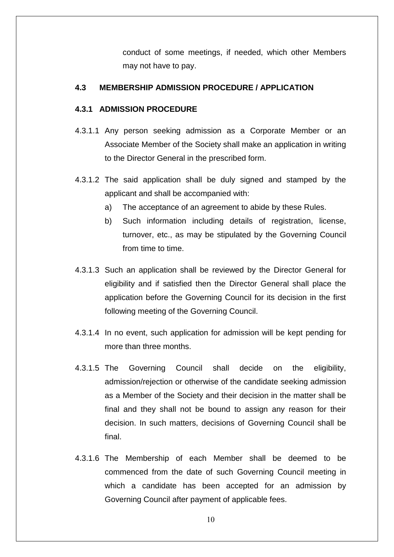conduct of some meetings, if needed, which other Members may not have to pay.

### <span id="page-9-0"></span>**4.3 MEMBERSHIP ADMISSION PROCEDURE / APPLICATION**

# **4.3.1 ADMISSION PROCEDURE**

- 4.3.1.1 Any person seeking admission as a Corporate Member or an Associate Member of the Society shall make an application in writing to the Director General in the prescribed form.
- 4.3.1.2 The said application shall be duly signed and stamped by the applicant and shall be accompanied with:
	- a) The acceptance of an agreement to abide by these Rules.
	- b) Such information including details of registration, license, turnover, etc., as may be stipulated by the Governing Council from time to time.
- 4.3.1.3 Such an application shall be reviewed by the Director General for eligibility and if satisfied then the Director General shall place the application before the Governing Council for its decision in the first following meeting of the Governing Council.
- 4.3.1.4 In no event, such application for admission will be kept pending for more than three months.
- 4.3.1.5 The Governing Council shall decide on the eligibility, admission/rejection or otherwise of the candidate seeking admission as a Member of the Society and their decision in the matter shall be final and they shall not be bound to assign any reason for their decision. In such matters, decisions of Governing Council shall be final.
- 4.3.1.6 The Membership of each Member shall be deemed to be commenced from the date of such Governing Council meeting in which a candidate has been accepted for an admission by Governing Council after payment of applicable fees.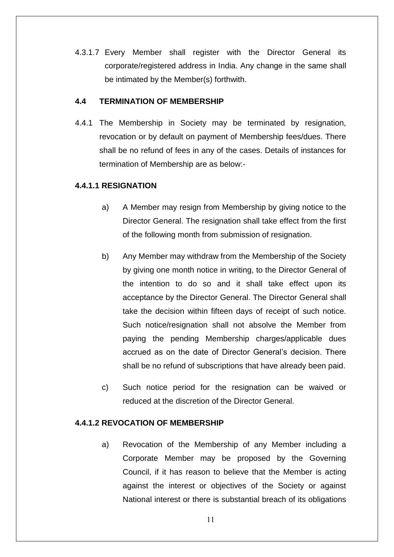4.3.1.7 Every Member shall register with the Director General its corporate/registered address in India. Any change in the same shall be intimated by the Member(s) forthwith.

### <span id="page-10-0"></span>**4.4 TERMINATION OF MEMBERSHIP**

4.4.1 The Membership in Society may be terminated by resignation, revocation or by default on payment of Membership fees/dues. There shall be no refund of fees in any of the cases. Details of instances for termination of Membership are as below:-

# **4.4.1.1 RESIGNATION**

- a) A Member may resign from Membership by giving notice to the Director General. The resignation shall take effect from the first of the following month from submission of resignation.
- b) Any Member may withdraw from the Membership of the Society by giving one month notice in writing, to the Director General of the intention to do so and it shall take effect upon its acceptance by the Director General. The Director General shall take the decision within fifteen days of receipt of such notice. Such notice/resignation shall not absolve the Member from paying the pending Membership charges/applicable dues accrued as on the date of Director General"s decision. There shall be no refund of subscriptions that have already been paid.
- c) Such notice period for the resignation can be waived or reduced at the discretion of the Director General.

### **4.4.1.2 REVOCATION OF MEMBERSHIP**

a) Revocation of the Membership of any Member including a Corporate Member may be proposed by the Governing Council, if it has reason to believe that the Member is acting against the interest or objectives of the Society or against National interest or there is substantial breach of its obligations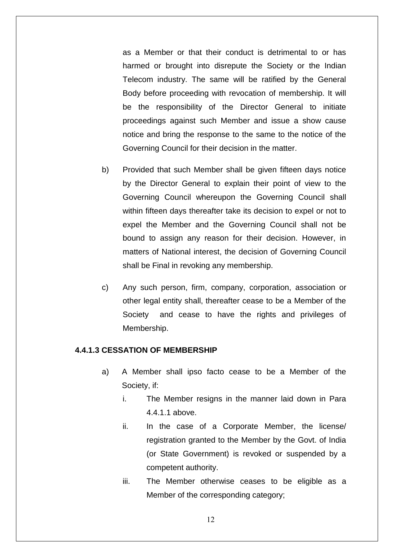as a Member or that their conduct is detrimental to or has harmed or brought into disrepute the Society or the Indian Telecom industry. The same will be ratified by the General Body before proceeding with revocation of membership. It will be the responsibility of the Director General to initiate proceedings against such Member and issue a show cause notice and bring the response to the same to the notice of the Governing Council for their decision in the matter.

- b) Provided that such Member shall be given fifteen days notice by the Director General to explain their point of view to the Governing Council whereupon the Governing Council shall within fifteen days thereafter take its decision to expel or not to expel the Member and the Governing Council shall not be bound to assign any reason for their decision. However, in matters of National interest, the decision of Governing Council shall be Final in revoking any membership.
- c) Any such person, firm, company, corporation, association or other legal entity shall, thereafter cease to be a Member of the Society and cease to have the rights and privileges of Membership.

#### **4.4.1.3 CESSATION OF MEMBERSHIP**

- a) A Member shall ipso facto cease to be a Member of the Society, if:
	- i. The Member resigns in the manner laid down in Para 4.4.1.1 above.
	- ii. In the case of a Corporate Member, the license/ registration granted to the Member by the Govt. of India (or State Government) is revoked or suspended by a competent authority.
	- iii. The Member otherwise ceases to be eligible as a Member of the corresponding category;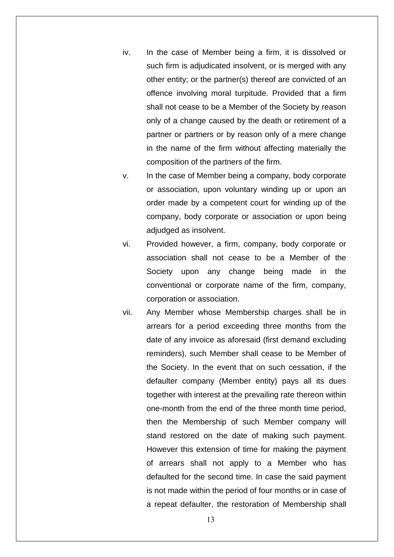- iv. In the case of Member being a firm, it is dissolved or such firm is adjudicated insolvent, or is merged with any other entity; or the partner(s) thereof are convicted of an offence involving moral turpitude. Provided that a firm shall not cease to be a Member of the Society by reason only of a change caused by the death or retirement of a partner or partners or by reason only of a mere change in the name of the firm without affecting materially the composition of the partners of the firm.
- v. In the case of Member being a company, body corporate or association, upon voluntary winding up or upon an order made by a competent court for winding up of the company, body corporate or association or upon being adjudged as insolvent.
- vi. Provided however, a firm, company, body corporate or association shall not cease to be a Member of the Society upon any change being made in the conventional or corporate name of the firm, company, corporation or association.
- vii. Any Member whose Membership charges shall be in arrears for a period exceeding three months from the date of any invoice as aforesaid (first demand excluding reminders), such Member shall cease to be Member of the Society. In the event that on such cessation, if the defaulter company (Member entity) pays all its dues together with interest at the prevailing rate thereon within one-month from the end of the three month time period, then the Membership of such Member company will stand restored on the date of making such payment. However this extension of time for making the payment of arrears shall not apply to a Member who has defaulted for the second time. In case the said payment is not made within the period of four months or in case of a repeat defaulter, the restoration of Membership shall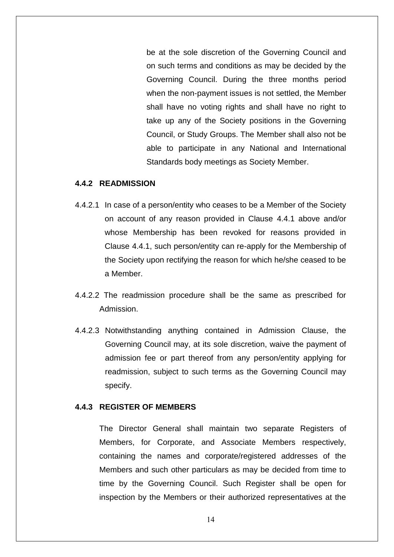be at the sole discretion of the Governing Council and on such terms and conditions as may be decided by the Governing Council. During the three months period when the non-payment issues is not settled, the Member shall have no voting rights and shall have no right to take up any of the Society positions in the Governing Council, or Study Groups. The Member shall also not be able to participate in any National and International Standards body meetings as Society Member.

#### **4.4.2 READMISSION**

- 4.4.2.1 In case of a person/entity who ceases to be a Member of the Society on account of any reason provided in Clause 4.4.1 above and/or whose Membership has been revoked for reasons provided in Clause 4.4.1, such person/entity can re-apply for the Membership of the Society upon rectifying the reason for which he/she ceased to be a Member.
- 4.4.2.2 The readmission procedure shall be the same as prescribed for Admission.
- 4.4.2.3 Notwithstanding anything contained in Admission Clause, the Governing Council may, at its sole discretion, waive the payment of admission fee or part thereof from any person/entity applying for readmission, subject to such terms as the Governing Council may specify.

#### **4.4.3 REGISTER OF MEMBERS**

The Director General shall maintain two separate Registers of Members, for Corporate, and Associate Members respectively, containing the names and corporate/registered addresses of the Members and such other particulars as may be decided from time to time by the Governing Council. Such Register shall be open for inspection by the Members or their authorized representatives at the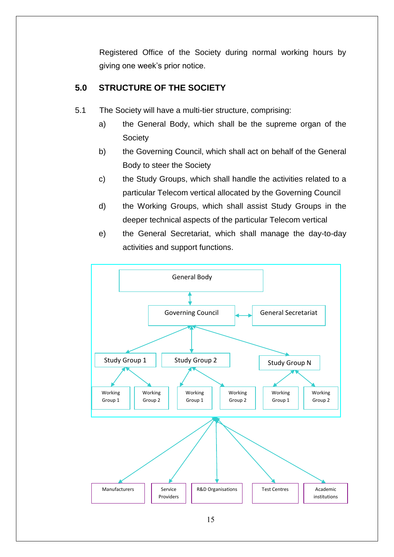Registered Office of the Society during normal working hours by giving one week"s prior notice.

# <span id="page-14-0"></span>**5.0 STRUCTURE OF THE SOCIETY**

- 5.1 The Society will have a multi-tier structure, comprising:
	- a) the General Body, which shall be the supreme organ of the **Society**
	- b) the Governing Council, which shall act on behalf of the General Body to steer the Society
	- c) the Study Groups, which shall handle the activities related to a particular Telecom vertical allocated by the Governing Council
	- d) the Working Groups, which shall assist Study Groups in the deeper technical aspects of the particular Telecom vertical
	- e) the General Secretariat, which shall manage the day-to-day activities and support functions.

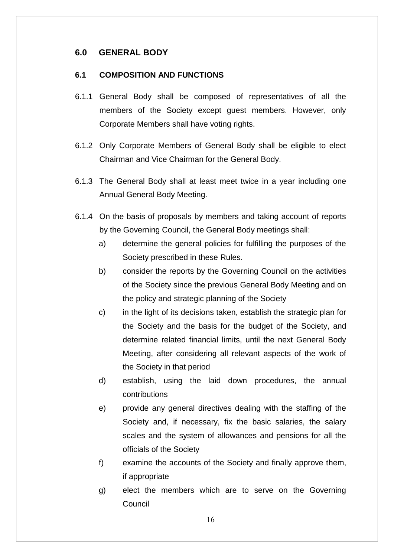# <span id="page-15-0"></span>**6.0 GENERAL BODY**

### <span id="page-15-1"></span>**6.1 COMPOSITION AND FUNCTIONS**

- 6.1.1 General Body shall be composed of representatives of all the members of the Society except guest members. However, only Corporate Members shall have voting rights.
- 6.1.2 Only Corporate Members of General Body shall be eligible to elect Chairman and Vice Chairman for the General Body.
- 6.1.3 The General Body shall at least meet twice in a year including one Annual General Body Meeting.
- 6.1.4 On the basis of proposals by members and taking account of reports by the Governing Council, the General Body meetings shall:
	- a) determine the general policies for fulfilling the purposes of the Society prescribed in these Rules.
	- b) consider the reports by the Governing Council on the activities of the Society since the previous General Body Meeting and on the policy and strategic planning of the Society
	- c) in the light of its decisions taken, establish the strategic plan for the Society and the basis for the budget of the Society, and determine related financial limits, until the next General Body Meeting, after considering all relevant aspects of the work of the Society in that period
	- d) establish, using the laid down procedures, the annual contributions
	- e) provide any general directives dealing with the staffing of the Society and, if necessary, fix the basic salaries, the salary scales and the system of allowances and pensions for all the officials of the Society
	- f) examine the accounts of the Society and finally approve them, if appropriate
	- g) elect the members which are to serve on the Governing Council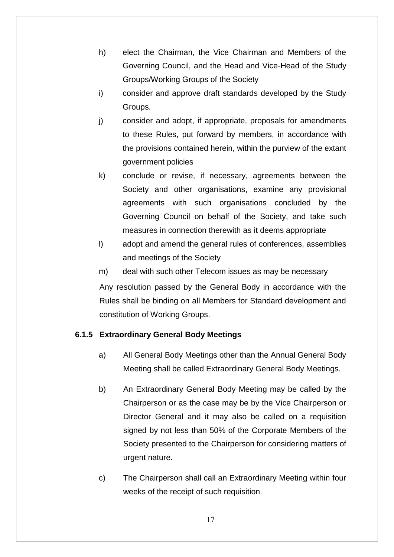- h) elect the Chairman, the Vice Chairman and Members of the Governing Council, and the Head and Vice-Head of the Study Groups/Working Groups of the Society
- i) consider and approve draft standards developed by the Study Groups.
- j) consider and adopt, if appropriate, proposals for amendments to these Rules, put forward by members, in accordance with the provisions contained herein, within the purview of the extant government policies
- k) conclude or revise, if necessary, agreements between the Society and other organisations, examine any provisional agreements with such organisations concluded by the Governing Council on behalf of the Society, and take such measures in connection therewith as it deems appropriate
- l) adopt and amend the general rules of conferences, assemblies and meetings of the Society
- m) deal with such other Telecom issues as may be necessary

Any resolution passed by the General Body in accordance with the Rules shall be binding on all Members for Standard development and constitution of Working Groups.

### **6.1.5 Extraordinary General Body Meetings**

- a) All General Body Meetings other than the Annual General Body Meeting shall be called Extraordinary General Body Meetings.
- b) An Extraordinary General Body Meeting may be called by the Chairperson or as the case may be by the Vice Chairperson or Director General and it may also be called on a requisition signed by not less than 50% of the Corporate Members of the Society presented to the Chairperson for considering matters of urgent nature.
- c) The Chairperson shall call an Extraordinary Meeting within four weeks of the receipt of such requisition.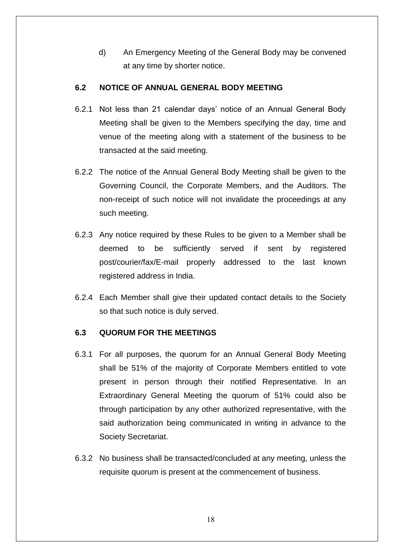d) An Emergency Meeting of the General Body may be convened at any time by shorter notice.

### <span id="page-17-0"></span>**6.2 NOTICE OF ANNUAL GENERAL BODY MEETING**

- 6.2.1 Not less than 21 calendar days" notice of an Annual General Body Meeting shall be given to the Members specifying the day, time and venue of the meeting along with a statement of the business to be transacted at the said meeting.
- 6.2.2 The notice of the Annual General Body Meeting shall be given to the Governing Council, the Corporate Members, and the Auditors. The non-receipt of such notice will not invalidate the proceedings at any such meeting.
- 6.2.3 Any notice required by these Rules to be given to a Member shall be deemed to be sufficiently served if sent by registered post/courier/fax/E-mail properly addressed to the last known registered address in India.
- 6.2.4 Each Member shall give their updated contact details to the Society so that such notice is duly served.

# <span id="page-17-1"></span>**6.3 QUORUM FOR THE MEETINGS**

- 6.3.1 For all purposes, the quorum for an Annual General Body Meeting shall be 51% of the majority of Corporate Members entitled to vote present in person through their notified Representative. In an Extraordinary General Meeting the quorum of 51% could also be through participation by any other authorized representative, with the said authorization being communicated in writing in advance to the Society Secretariat.
- 6.3.2 No business shall be transacted/concluded at any meeting, unless the requisite quorum is present at the commencement of business.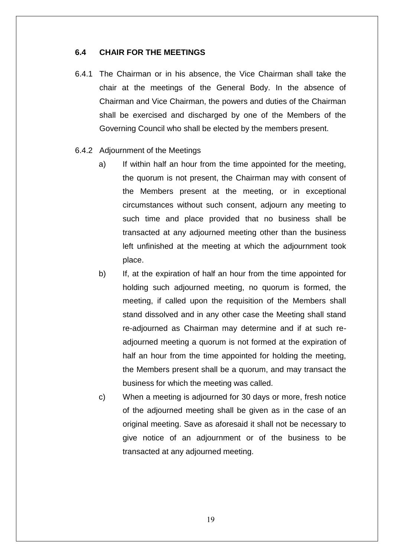#### <span id="page-18-0"></span>**6.4 CHAIR FOR THE MEETINGS**

- 6.4.1 The Chairman or in his absence, the Vice Chairman shall take the chair at the meetings of the General Body. In the absence of Chairman and Vice Chairman, the powers and duties of the Chairman shall be exercised and discharged by one of the Members of the Governing Council who shall be elected by the members present.
- 6.4.2 Adjournment of the Meetings
	- a) If within half an hour from the time appointed for the meeting, the quorum is not present, the Chairman may with consent of the Members present at the meeting, or in exceptional circumstances without such consent, adjourn any meeting to such time and place provided that no business shall be transacted at any adjourned meeting other than the business left unfinished at the meeting at which the adjournment took place.
	- b) If, at the expiration of half an hour from the time appointed for holding such adjourned meeting, no quorum is formed, the meeting, if called upon the requisition of the Members shall stand dissolved and in any other case the Meeting shall stand re-adjourned as Chairman may determine and if at such readjourned meeting a quorum is not formed at the expiration of half an hour from the time appointed for holding the meeting, the Members present shall be a quorum, and may transact the business for which the meeting was called.
	- c) When a meeting is adjourned for 30 days or more, fresh notice of the adjourned meeting shall be given as in the case of an original meeting. Save as aforesaid it shall not be necessary to give notice of an adjournment or of the business to be transacted at any adjourned meeting.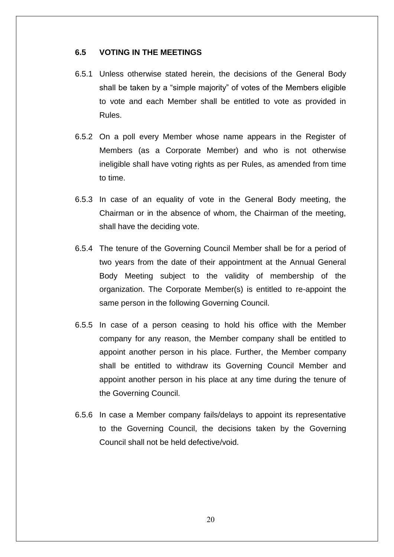#### <span id="page-19-0"></span>**6.5 VOTING IN THE MEETINGS**

- 6.5.1 Unless otherwise stated herein, the decisions of the General Body shall be taken by a "simple majority" of votes of the Members eligible to vote and each Member shall be entitled to vote as provided in Rules.
- 6.5.2 On a poll every Member whose name appears in the Register of Members (as a Corporate Member) and who is not otherwise ineligible shall have voting rights as per Rules, as amended from time to time.
- 6.5.3 In case of an equality of vote in the General Body meeting, the Chairman or in the absence of whom, the Chairman of the meeting, shall have the deciding vote.
- 6.5.4 The tenure of the Governing Council Member shall be for a period of two years from the date of their appointment at the Annual General Body Meeting subject to the validity of membership of the organization. The Corporate Member(s) is entitled to re-appoint the same person in the following Governing Council.
- 6.5.5 In case of a person ceasing to hold his office with the Member company for any reason, the Member company shall be entitled to appoint another person in his place. Further, the Member company shall be entitled to withdraw its Governing Council Member and appoint another person in his place at any time during the tenure of the Governing Council.
- 6.5.6 In case a Member company fails/delays to appoint its representative to the Governing Council, the decisions taken by the Governing Council shall not be held defective/void.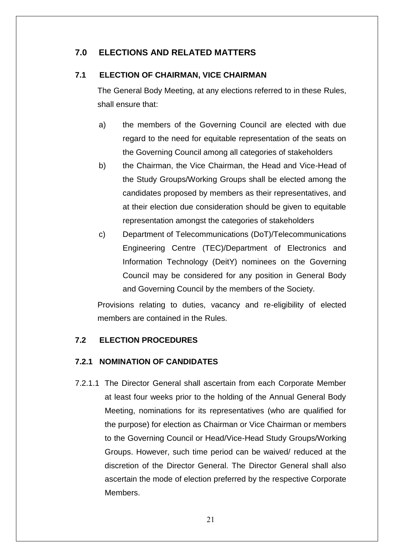# <span id="page-20-0"></span>**7.0 ELECTIONS AND RELATED MATTERS**

### <span id="page-20-1"></span>**7.1 ELECTION OF CHAIRMAN, VICE CHAIRMAN**

The General Body Meeting, at any elections referred to in these Rules, shall ensure that:

- a) the members of the Governing Council are elected with due regard to the need for equitable representation of the seats on the Governing Council among all categories of stakeholders
- b) the Chairman, the Vice Chairman, the Head and Vice-Head of the Study Groups/Working Groups shall be elected among the candidates proposed by members as their representatives, and at their election due consideration should be given to equitable representation amongst the categories of stakeholders
- c) Department of Telecommunications (DoT)/Telecommunications Engineering Centre (TEC)/Department of Electronics and Information Technology (DeitY) nominees on the Governing Council may be considered for any position in General Body and Governing Council by the members of the Society.

Provisions relating to duties, vacancy and re-eligibility of elected members are contained in the Rules.

### <span id="page-20-2"></span>**7.2 ELECTION PROCEDURES**

# **7.2.1 NOMINATION OF CANDIDATES**

7.2.1.1 The Director General shall ascertain from each Corporate Member at least four weeks prior to the holding of the Annual General Body Meeting, nominations for its representatives (who are qualified for the purpose) for election as Chairman or Vice Chairman or members to the Governing Council or Head/Vice-Head Study Groups/Working Groups. However, such time period can be waived/ reduced at the discretion of the Director General. The Director General shall also ascertain the mode of election preferred by the respective Corporate Members.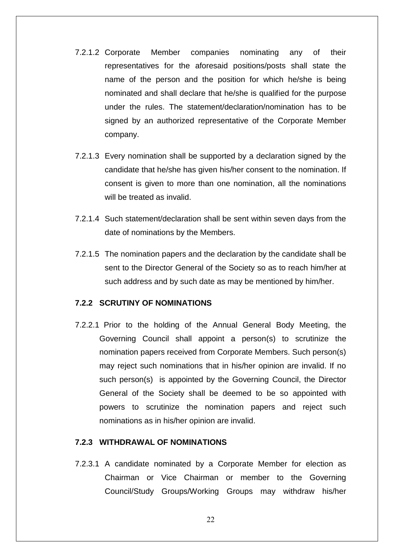- 7.2.1.2 Corporate Member companies nominating any of their representatives for the aforesaid positions/posts shall state the name of the person and the position for which he/she is being nominated and shall declare that he/she is qualified for the purpose under the rules. The statement/declaration/nomination has to be signed by an authorized representative of the Corporate Member company.
- 7.2.1.3 Every nomination shall be supported by a declaration signed by the candidate that he/she has given his/her consent to the nomination. If consent is given to more than one nomination, all the nominations will be treated as invalid.
- 7.2.1.4 Such statement/declaration shall be sent within seven days from the date of nominations by the Members.
- 7.2.1.5 The nomination papers and the declaration by the candidate shall be sent to the Director General of the Society so as to reach him/her at such address and by such date as may be mentioned by him/her.

#### **7.2.2 SCRUTINY OF NOMINATIONS**

7.2.2.1 Prior to the holding of the Annual General Body Meeting, the Governing Council shall appoint a person(s) to scrutinize the nomination papers received from Corporate Members. Such person(s) may reject such nominations that in his/her opinion are invalid. If no such person(s) is appointed by the Governing Council, the Director General of the Society shall be deemed to be so appointed with powers to scrutinize the nomination papers and reject such nominations as in his/her opinion are invalid.

#### **7.2.3 WITHDRAWAL OF NOMINATIONS**

7.2.3.1 A candidate nominated by a Corporate Member for election as Chairman or Vice Chairman or member to the Governing Council/Study Groups/Working Groups may withdraw his/her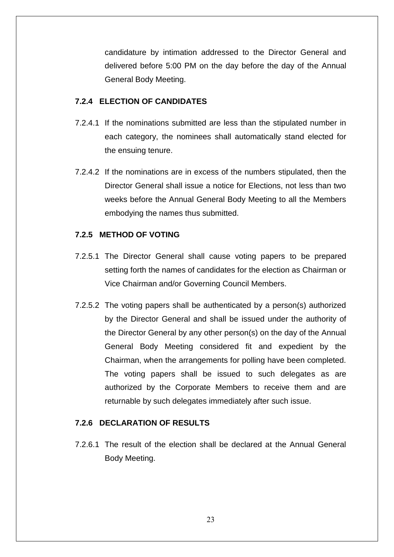candidature by intimation addressed to the Director General and delivered before 5:00 PM on the day before the day of the Annual General Body Meeting.

### **7.2.4 ELECTION OF CANDIDATES**

- 7.2.4.1 If the nominations submitted are less than the stipulated number in each category, the nominees shall automatically stand elected for the ensuing tenure.
- 7.2.4.2 If the nominations are in excess of the numbers stipulated, then the Director General shall issue a notice for Elections, not less than two weeks before the Annual General Body Meeting to all the Members embodying the names thus submitted.

# **7.2.5 METHOD OF VOTING**

- 7.2.5.1 The Director General shall cause voting papers to be prepared setting forth the names of candidates for the election as Chairman or Vice Chairman and/or Governing Council Members.
- 7.2.5.2 The voting papers shall be authenticated by a person(s) authorized by the Director General and shall be issued under the authority of the Director General by any other person(s) on the day of the Annual General Body Meeting considered fit and expedient by the Chairman, when the arrangements for polling have been completed. The voting papers shall be issued to such delegates as are authorized by the Corporate Members to receive them and are returnable by such delegates immediately after such issue.

### **7.2.6 DECLARATION OF RESULTS**

7.2.6.1 The result of the election shall be declared at the Annual General Body Meeting.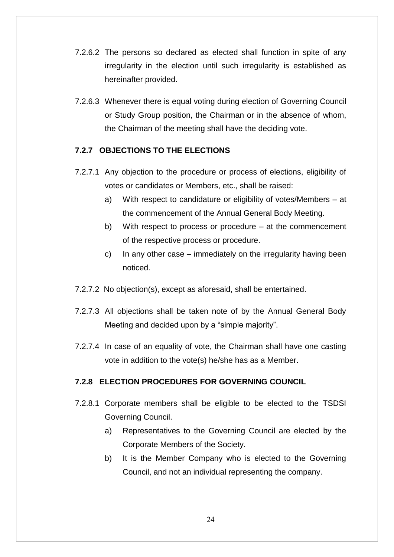- 7.2.6.2 The persons so declared as elected shall function in spite of any irregularity in the election until such irregularity is established as hereinafter provided.
- 7.2.6.3 Whenever there is equal voting during election of Governing Council or Study Group position, the Chairman or in the absence of whom, the Chairman of the meeting shall have the deciding vote.

### **7.2.7 OBJECTIONS TO THE ELECTIONS**

- 7.2.7.1 Any objection to the procedure or process of elections, eligibility of votes or candidates or Members, etc., shall be raised:
	- a) With respect to candidature or eligibility of votes/Members at the commencement of the Annual General Body Meeting.
	- b) With respect to process or procedure at the commencement of the respective process or procedure.
	- c) In any other case immediately on the irregularity having been noticed.
- 7.2.7.2 No objection(s), except as aforesaid, shall be entertained.
- 7.2.7.3 All objections shall be taken note of by the Annual General Body Meeting and decided upon by a "simple majority".
- 7.2.7.4 In case of an equality of vote, the Chairman shall have one casting vote in addition to the vote(s) he/she has as a Member.

### **7.2.8 ELECTION PROCEDURES FOR GOVERNING COUNCIL**

- 7.2.8.1 Corporate members shall be eligible to be elected to the TSDSI Governing Council.
	- a) Representatives to the Governing Council are elected by the Corporate Members of the Society.
	- b) It is the Member Company who is elected to the Governing Council, and not an individual representing the company.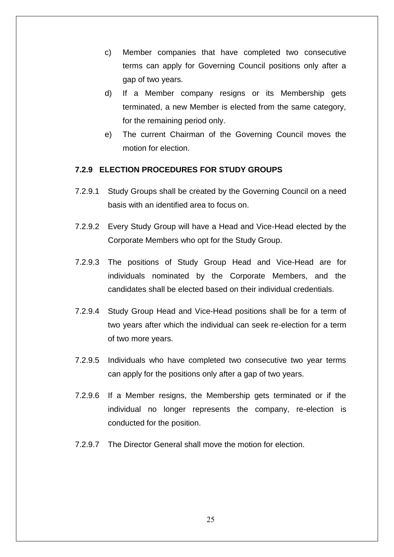- c) Member companies that have completed two consecutive terms can apply for Governing Council positions only after a gap of two years.
- d) If a Member company resigns or its Membership gets terminated, a new Member is elected from the same category, for the remaining period only.
- e) The current Chairman of the Governing Council moves the motion for election.

#### **7.2.9 ELECTION PROCEDURES FOR STUDY GROUPS**

- 7.2.9.1 Study Groups shall be created by the Governing Council on a need basis with an identified area to focus on.
- 7.2.9.2 Every Study Group will have a Head and Vice-Head elected by the Corporate Members who opt for the Study Group.
- 7.2.9.3 The positions of Study Group Head and Vice-Head are for individuals nominated by the Corporate Members, and the candidates shall be elected based on their individual credentials.
- 7.2.9.4 Study Group Head and Vice-Head positions shall be for a term of two years after which the individual can seek re-election for a term of two more years.
- 7.2.9.5 Individuals who have completed two consecutive two year terms can apply for the positions only after a gap of two years.
- 7.2.9.6 If a Member resigns, the Membership gets terminated or if the individual no longer represents the company, re-election is conducted for the position.
- 7.2.9.7 The Director General shall move the motion for election.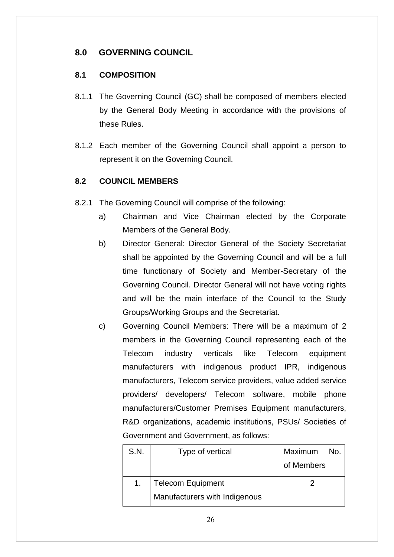# <span id="page-25-0"></span>**8.0 GOVERNING COUNCIL**

# <span id="page-25-1"></span>**8.1 COMPOSITION**

- 8.1.1 The Governing Council (GC) shall be composed of members elected by the General Body Meeting in accordance with the provisions of these Rules.
- 8.1.2 Each member of the Governing Council shall appoint a person to represent it on the Governing Council.

# <span id="page-25-2"></span>**8.2 COUNCIL MEMBERS**

- 8.2.1 The Governing Council will comprise of the following:
	- a) Chairman and Vice Chairman elected by the Corporate Members of the General Body.
	- b) Director General: Director General of the Society Secretariat shall be appointed by the Governing Council and will be a full time functionary of Society and Member-Secretary of the Governing Council. Director General will not have voting rights and will be the main interface of the Council to the Study Groups/Working Groups and the Secretariat.
	- c) Governing Council Members: There will be a maximum of 2 members in the Governing Council representing each of the Telecom industry verticals like Telecom equipment manufacturers with indigenous product IPR, indigenous manufacturers, Telecom service providers, value added service providers/ developers/ Telecom software, mobile phone manufacturers/Customer Premises Equipment manufacturers, R&D organizations, academic institutions, PSUs/ Societies of Government and Government, as follows:

| S.N. | Type of vertical              | Maximum<br>No. |
|------|-------------------------------|----------------|
|      |                               | of Members     |
|      | <b>Telecom Equipment</b>      |                |
|      | Manufacturers with Indigenous |                |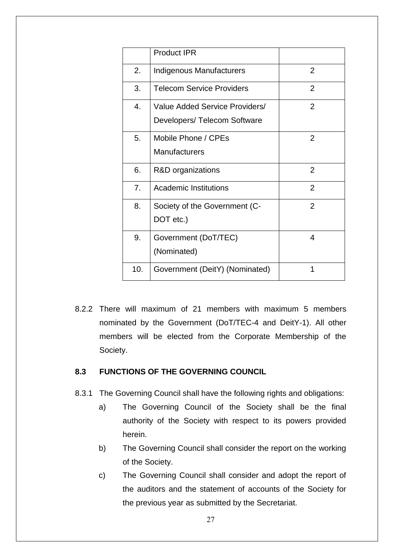|                  | <b>Product IPR</b>               |                |
|------------------|----------------------------------|----------------|
| 2.               | <b>Indigenous Manufacturers</b>  | $\overline{2}$ |
| 3.               | <b>Telecom Service Providers</b> | $\overline{2}$ |
| $\overline{4}$ . | Value Added Service Providers/   | $\overline{2}$ |
|                  | Developers/ Telecom Software     |                |
| 5.               | Mobile Phone / CPEs              | $\overline{2}$ |
|                  | <b>Manufacturers</b>             |                |
| 6.               | R&D organizations                | $\overline{2}$ |
| 7.               | Academic Institutions            | $\overline{2}$ |
| 8.               | Society of the Government (C-    | $\overline{2}$ |
|                  | DOT etc.)                        |                |
| 9.               | Government (DoT/TEC)             | 4              |
|                  | (Nominated)                      |                |
| 10.              | Government (DeitY) (Nominated)   | 1              |

8.2.2 There will maximum of 21 members with maximum 5 members nominated by the Government (DoT/TEC-4 and DeitY-1). All other members will be elected from the Corporate Membership of the Society.

### <span id="page-26-0"></span>**8.3 FUNCTIONS OF THE GOVERNING COUNCIL**

- 8.3.1 The Governing Council shall have the following rights and obligations:
	- a) The Governing Council of the Society shall be the final authority of the Society with respect to its powers provided herein.
	- b) The Governing Council shall consider the report on the working of the Society.
	- c) The Governing Council shall consider and adopt the report of the auditors and the statement of accounts of the Society for the previous year as submitted by the Secretariat.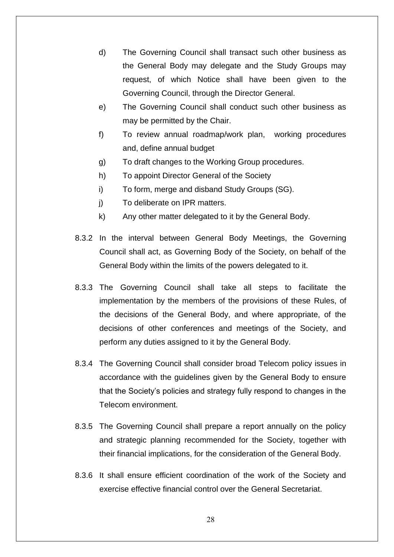- d) The Governing Council shall transact such other business as the General Body may delegate and the Study Groups may request, of which Notice shall have been given to the Governing Council, through the Director General.
- e) The Governing Council shall conduct such other business as may be permitted by the Chair.
- f) To review annual roadmap/work plan, working procedures and, define annual budget
- g) To draft changes to the Working Group procedures.
- h) To appoint Director General of the Society
- i) To form, merge and disband Study Groups (SG).
- j) To deliberate on IPR matters.
- k) Any other matter delegated to it by the General Body.
- 8.3.2 In the interval between General Body Meetings, the Governing Council shall act, as Governing Body of the Society, on behalf of the General Body within the limits of the powers delegated to it.
- 8.3.3 The Governing Council shall take all steps to facilitate the implementation by the members of the provisions of these Rules, of the decisions of the General Body, and where appropriate, of the decisions of other conferences and meetings of the Society, and perform any duties assigned to it by the General Body.
- 8.3.4 The Governing Council shall consider broad Telecom policy issues in accordance with the guidelines given by the General Body to ensure that the Society"s policies and strategy fully respond to changes in the Telecom environment.
- 8.3.5 The Governing Council shall prepare a report annually on the policy and strategic planning recommended for the Society, together with their financial implications, for the consideration of the General Body.
- 8.3.6 It shall ensure efficient coordination of the work of the Society and exercise effective financial control over the General Secretariat.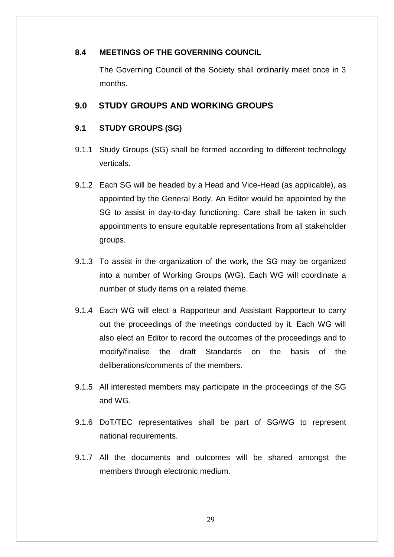### <span id="page-28-0"></span>**8.4 MEETINGS OF THE GOVERNING COUNCIL**

The Governing Council of the Society shall ordinarily meet once in 3 months.

# <span id="page-28-1"></span>**9.0 STUDY GROUPS AND WORKING GROUPS**

# <span id="page-28-2"></span>**9.1 STUDY GROUPS (SG)**

- 9.1.1 Study Groups (SG) shall be formed according to different technology verticals.
- 9.1.2 Each SG will be headed by a Head and Vice-Head (as applicable), as appointed by the General Body. An Editor would be appointed by the SG to assist in day-to-day functioning. Care shall be taken in such appointments to ensure equitable representations from all stakeholder groups.
- 9.1.3 To assist in the organization of the work, the SG may be organized into a number of Working Groups (WG). Each WG will coordinate a number of study items on a related theme.
- 9.1.4 Each WG will elect a Rapporteur and Assistant Rapporteur to carry out the proceedings of the meetings conducted by it. Each WG will also elect an Editor to record the outcomes of the proceedings and to modify/finalise the draft Standards on the basis of the deliberations/comments of the members.
- 9.1.5 All interested members may participate in the proceedings of the SG and WG.
- 9.1.6 DoT/TEC representatives shall be part of SG/WG to represent national requirements.
- 9.1.7 All the documents and outcomes will be shared amongst the members through electronic medium.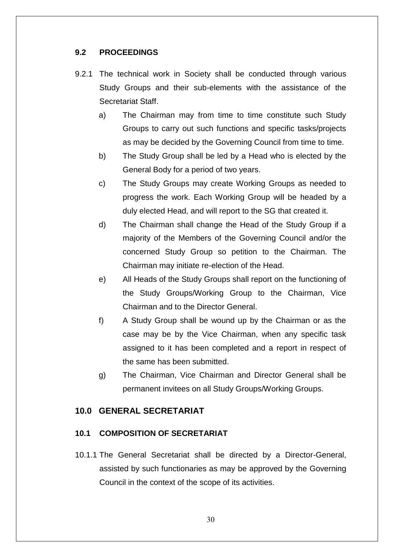# <span id="page-29-0"></span>**9.2 PROCEEDINGS**

- 9.2.1 The technical work in Society shall be conducted through various Study Groups and their sub-elements with the assistance of the Secretariat Staff.
	- a) The Chairman may from time to time constitute such Study Groups to carry out such functions and specific tasks/projects as may be decided by the Governing Council from time to time.
	- b) The Study Group shall be led by a Head who is elected by the General Body for a period of two years.
	- c) The Study Groups may create Working Groups as needed to progress the work. Each Working Group will be headed by a duly elected Head, and will report to the SG that created it.
	- d) The Chairman shall change the Head of the Study Group if a majority of the Members of the Governing Council and/or the concerned Study Group so petition to the Chairman. The Chairman may initiate re-election of the Head.
	- e) All Heads of the Study Groups shall report on the functioning of the Study Groups/Working Group to the Chairman, Vice Chairman and to the Director General.
	- f) A Study Group shall be wound up by the Chairman or as the case may be by the Vice Chairman, when any specific task assigned to it has been completed and a report in respect of the same has been submitted.
	- g) The Chairman, Vice Chairman and Director General shall be permanent invitees on all Study Groups/Working Groups.

# <span id="page-29-1"></span>**10.0 GENERAL SECRETARIAT**

#### <span id="page-29-2"></span>**10.1 COMPOSITION OF SECRETARIAT**

10.1.1 The General Secretariat shall be directed by a Director-General, assisted by such functionaries as may be approved by the Governing Council in the context of the scope of its activities.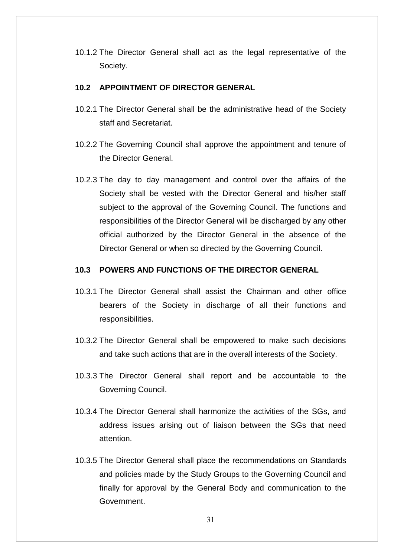10.1.2 The Director General shall act as the legal representative of the Society.

#### <span id="page-30-0"></span>**10.2 APPOINTMENT OF DIRECTOR GENERAL**

- 10.2.1 The Director General shall be the administrative head of the Society staff and Secretariat.
- 10.2.2 The Governing Council shall approve the appointment and tenure of the Director General.
- 10.2.3 The day to day management and control over the affairs of the Society shall be vested with the Director General and his/her staff subject to the approval of the Governing Council. The functions and responsibilities of the Director General will be discharged by any other official authorized by the Director General in the absence of the Director General or when so directed by the Governing Council.

#### <span id="page-30-1"></span>**10.3 POWERS AND FUNCTIONS OF THE DIRECTOR GENERAL**

- 10.3.1 The Director General shall assist the Chairman and other office bearers of the Society in discharge of all their functions and responsibilities.
- 10.3.2 The Director General shall be empowered to make such decisions and take such actions that are in the overall interests of the Society.
- 10.3.3 The Director General shall report and be accountable to the Governing Council.
- 10.3.4 The Director General shall harmonize the activities of the SGs, and address issues arising out of liaison between the SGs that need attention.
- 10.3.5 The Director General shall place the recommendations on Standards and policies made by the Study Groups to the Governing Council and finally for approval by the General Body and communication to the Government.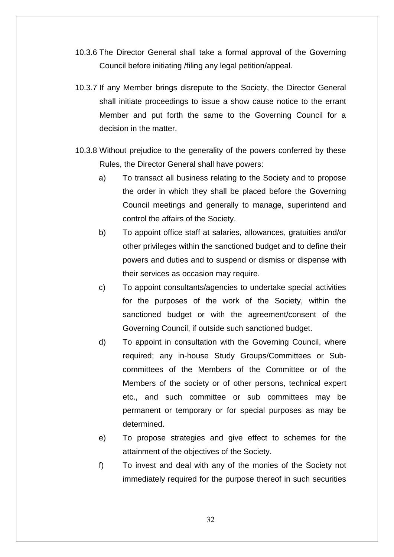- 10.3.6 The Director General shall take a formal approval of the Governing Council before initiating /filing any legal petition/appeal.
- 10.3.7 If any Member brings disrepute to the Society, the Director General shall initiate proceedings to issue a show cause notice to the errant Member and put forth the same to the Governing Council for a decision in the matter.
- 10.3.8 Without prejudice to the generality of the powers conferred by these Rules, the Director General shall have powers:
	- a) To transact all business relating to the Society and to propose the order in which they shall be placed before the Governing Council meetings and generally to manage, superintend and control the affairs of the Society.
	- b) To appoint office staff at salaries, allowances, gratuities and/or other privileges within the sanctioned budget and to define their powers and duties and to suspend or dismiss or dispense with their services as occasion may require.
	- c) To appoint consultants/agencies to undertake special activities for the purposes of the work of the Society, within the sanctioned budget or with the agreement/consent of the Governing Council, if outside such sanctioned budget.
	- d) To appoint in consultation with the Governing Council, where required; any in-house Study Groups/Committees or Subcommittees of the Members of the Committee or of the Members of the society or of other persons, technical expert etc., and such committee or sub committees may be permanent or temporary or for special purposes as may be determined.
	- e) To propose strategies and give effect to schemes for the attainment of the objectives of the Society.
	- f) To invest and deal with any of the monies of the Society not immediately required for the purpose thereof in such securities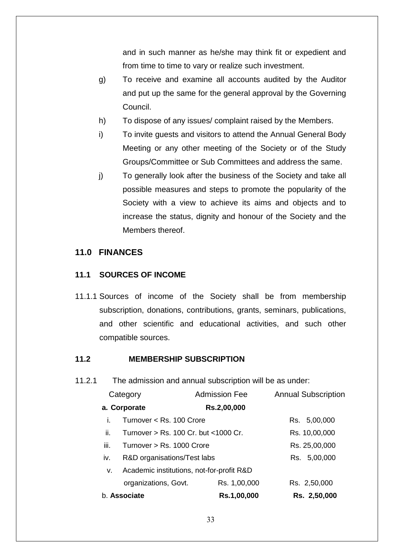and in such manner as he/she may think fit or expedient and from time to time to vary or realize such investment.

- g) To receive and examine all accounts audited by the Auditor and put up the same for the general approval by the Governing Council.
- h) To dispose of any issues/ complaint raised by the Members.
- i) To invite guests and visitors to attend the Annual General Body Meeting or any other meeting of the Society or of the Study Groups/Committee or Sub Committees and address the same.
- j) To generally look after the business of the Society and take all possible measures and steps to promote the popularity of the Society with a view to achieve its aims and objects and to increase the status, dignity and honour of the Society and the Members thereof.

### <span id="page-32-0"></span>**11.0 FINANCES**

#### <span id="page-32-1"></span>**11.1 SOURCES OF INCOME**

11.1.1 Sources of income of the Society shall be from membership subscription, donations, contributions, grants, seminars, publications, and other scientific and educational activities, and such other compatible sources.

### <span id="page-32-2"></span>**11.2 MEMBERSHIP SUBSCRIPTION**

11.2.1 The admission and annual subscription will be as under:

|              | Category                                  | <b>Admission Fee</b> | <b>Annual Subscription</b> |
|--------------|-------------------------------------------|----------------------|----------------------------|
|              | a. Corporate                              | Rs.2,00,000          |                            |
| Ĺ.           | Turnover < Rs. 100 Crore                  |                      | Rs. 5,00,000               |
| ii.          | Turnover > Rs. 100 Cr. but <1000 Cr.      |                      | Rs. 10,00,000              |
| iii.         | Turnover $>$ Rs. 1000 Crore               |                      | Rs. 25,00,000              |
| İV.          | R&D organisations/Test labs               |                      | Rs. 5,00,000               |
| v.           | Academic institutions, not-for-profit R&D |                      |                            |
|              | organizations, Govt.                      | Rs. 1,00,000         | Rs. 2,50,000               |
| b. Associate |                                           | Rs.1,00,000          | Rs. 2,50,000               |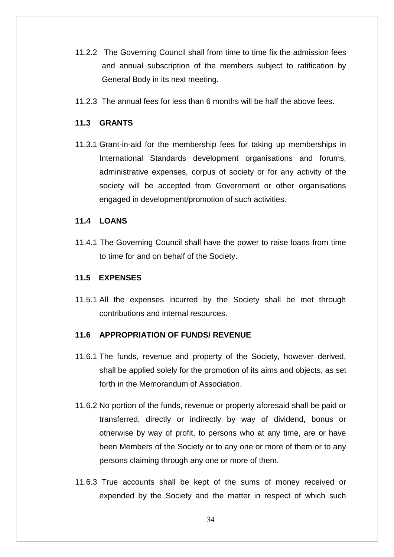- 11.2.2 The Governing Council shall from time to time fix the admission fees and annual subscription of the members subject to ratification by General Body in its next meeting.
- 11.2.3 The annual fees for less than 6 months will be half the above fees.

# <span id="page-33-0"></span>**11.3 GRANTS**

11.3.1 Grant-in-aid for the membership fees for taking up memberships in International Standards development organisations and forums, administrative expenses, corpus of society or for any activity of the society will be accepted from Government or other organisations engaged in development/promotion of such activities.

#### <span id="page-33-1"></span>**11.4 LOANS**

11.4.1 The Governing Council shall have the power to raise loans from time to time for and on behalf of the Society.

#### <span id="page-33-2"></span>**11.5 EXPENSES**

11.5.1 All the expenses incurred by the Society shall be met through contributions and internal resources.

### <span id="page-33-3"></span>**11.6 APPROPRIATION OF FUNDS/ REVENUE**

- 11.6.1 The funds, revenue and property of the Society, however derived, shall be applied solely for the promotion of its aims and objects, as set forth in the Memorandum of Association.
- 11.6.2 No portion of the funds, revenue or property aforesaid shall be paid or transferred, directly or indirectly by way of dividend, bonus or otherwise by way of profit, to persons who at any time, are or have been Members of the Society or to any one or more of them or to any persons claiming through any one or more of them.
- 11.6.3 True accounts shall be kept of the sums of money received or expended by the Society and the matter in respect of which such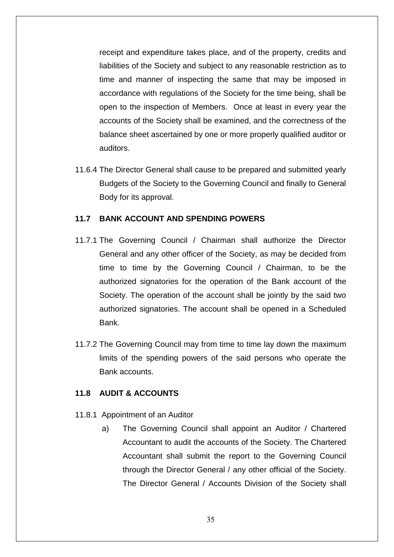receipt and expenditure takes place, and of the property, credits and liabilities of the Society and subject to any reasonable restriction as to time and manner of inspecting the same that may be imposed in accordance with regulations of the Society for the time being, shall be open to the inspection of Members. Once at least in every year the accounts of the Society shall be examined, and the correctness of the balance sheet ascertained by one or more properly qualified auditor or auditors.

11.6.4 The Director General shall cause to be prepared and submitted yearly Budgets of the Society to the Governing Council and finally to General Body for its approval.

#### <span id="page-34-0"></span>**11.7 BANK ACCOUNT AND SPENDING POWERS**

- 11.7.1 The Governing Council / Chairman shall authorize the Director General and any other officer of the Society, as may be decided from time to time by the Governing Council / Chairman, to be the authorized signatories for the operation of the Bank account of the Society. The operation of the account shall be jointly by the said two authorized signatories. The account shall be opened in a Scheduled Bank.
- 11.7.2 The Governing Council may from time to time lay down the maximum limits of the spending powers of the said persons who operate the Bank accounts.

#### <span id="page-34-1"></span>**11.8 AUDIT & ACCOUNTS**

- 11.8.1 Appointment of an Auditor
	- a) The Governing Council shall appoint an Auditor / Chartered Accountant to audit the accounts of the Society. The Chartered Accountant shall submit the report to the Governing Council through the Director General / any other official of the Society. The Director General / Accounts Division of the Society shall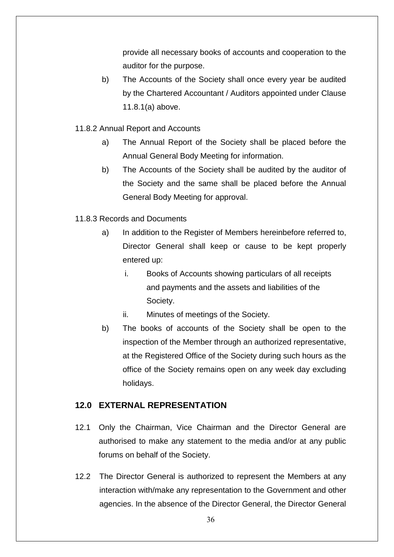provide all necessary books of accounts and cooperation to the auditor for the purpose.

- b) The Accounts of the Society shall once every year be audited by the Chartered Accountant / Auditors appointed under Clause 11.8.1(a) above.
- 11.8.2 Annual Report and Accounts
	- a) The Annual Report of the Society shall be placed before the Annual General Body Meeting for information.
	- b) The Accounts of the Society shall be audited by the auditor of the Society and the same shall be placed before the Annual General Body Meeting for approval.
- 11.8.3 Records and Documents
	- a) In addition to the Register of Members hereinbefore referred to, Director General shall keep or cause to be kept properly entered up:
		- i. Books of Accounts showing particulars of all receipts and payments and the assets and liabilities of the Society.
		- ii. Minutes of meetings of the Society.
	- b) The books of accounts of the Society shall be open to the inspection of the Member through an authorized representative, at the Registered Office of the Society during such hours as the office of the Society remains open on any week day excluding holidays.

# <span id="page-35-0"></span>**12.0 EXTERNAL REPRESENTATION**

- 12.1 Only the Chairman, Vice Chairman and the Director General are authorised to make any statement to the media and/or at any public forums on behalf of the Society.
- 12.2 The Director General is authorized to represent the Members at any interaction with/make any representation to the Government and other agencies. In the absence of the Director General, the Director General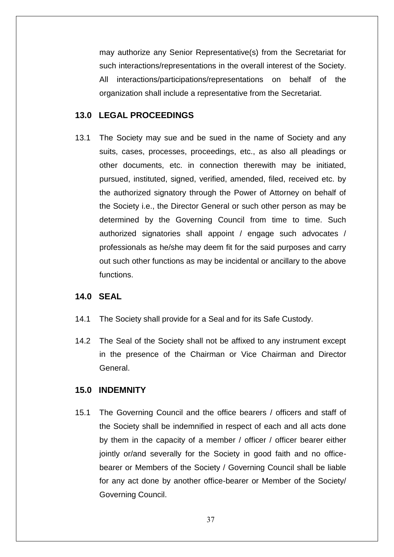may authorize any Senior Representative(s) from the Secretariat for such interactions/representations in the overall interest of the Society. All interactions/participations/representations on behalf of the organization shall include a representative from the Secretariat.

# <span id="page-36-0"></span>**13.0 LEGAL PROCEEDINGS**

13.1 The Society may sue and be sued in the name of Society and any suits, cases, processes, proceedings, etc., as also all pleadings or other documents, etc. in connection therewith may be initiated, pursued, instituted, signed, verified, amended, filed, received etc. by the authorized signatory through the Power of Attorney on behalf of the Society i.e., the Director General or such other person as may be determined by the Governing Council from time to time. Such authorized signatories shall appoint / engage such advocates / professionals as he/she may deem fit for the said purposes and carry out such other functions as may be incidental or ancillary to the above functions.

# <span id="page-36-1"></span>**14.0 SEAL**

- 14.1 The Society shall provide for a Seal and for its Safe Custody.
- 14.2 The Seal of the Society shall not be affixed to any instrument except in the presence of the Chairman or Vice Chairman and Director General.

# <span id="page-36-2"></span>**15.0 INDEMNITY**

15.1 The Governing Council and the office bearers / officers and staff of the Society shall be indemnified in respect of each and all acts done by them in the capacity of a member / officer / officer bearer either jointly or/and severally for the Society in good faith and no officebearer or Members of the Society / Governing Council shall be liable for any act done by another office-bearer or Member of the Society/ Governing Council.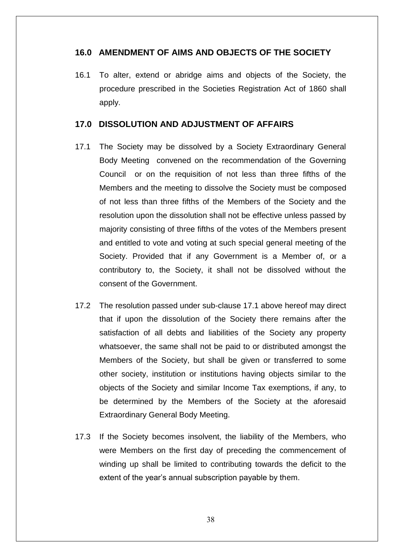# <span id="page-37-0"></span>**16.0 AMENDMENT OF AIMS AND OBJECTS OF THE SOCIETY**

16.1 To alter, extend or abridge aims and objects of the Society, the procedure prescribed in the Societies Registration Act of 1860 shall apply.

# <span id="page-37-1"></span>**17.0 DISSOLUTION AND ADJUSTMENT OF AFFAIRS**

- 17.1 The Society may be dissolved by a Society Extraordinary General Body Meeting convened on the recommendation of the Governing Council or on the requisition of not less than three fifths of the Members and the meeting to dissolve the Society must be composed of not less than three fifths of the Members of the Society and the resolution upon the dissolution shall not be effective unless passed by majority consisting of three fifths of the votes of the Members present and entitled to vote and voting at such special general meeting of the Society. Provided that if any Government is a Member of, or a contributory to, the Society, it shall not be dissolved without the consent of the Government.
- 17.2 The resolution passed under sub-clause 17.1 above hereof may direct that if upon the dissolution of the Society there remains after the satisfaction of all debts and liabilities of the Society any property whatsoever, the same shall not be paid to or distributed amongst the Members of the Society, but shall be given or transferred to some other society, institution or institutions having objects similar to the objects of the Society and similar Income Tax exemptions, if any, to be determined by the Members of the Society at the aforesaid Extraordinary General Body Meeting.
- 17.3 If the Society becomes insolvent, the liability of the Members, who were Members on the first day of preceding the commencement of winding up shall be limited to contributing towards the deficit to the extent of the year's annual subscription payable by them.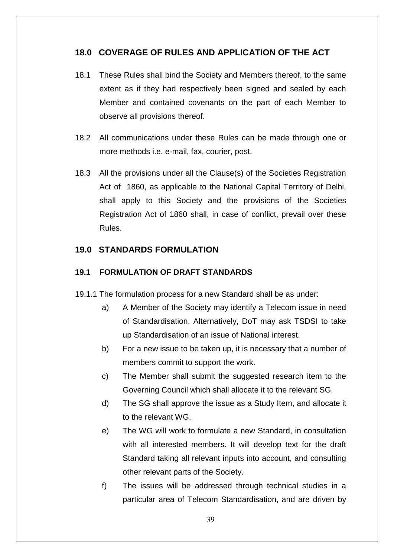# <span id="page-38-0"></span>**18.0 COVERAGE OF RULES AND APPLICATION OF THE ACT**

- 18.1 These Rules shall bind the Society and Members thereof, to the same extent as if they had respectively been signed and sealed by each Member and contained covenants on the part of each Member to observe all provisions thereof.
- 18.2 All communications under these Rules can be made through one or more methods i.e. e-mail, fax, courier, post.
- 18.3 All the provisions under all the Clause(s) of the Societies Registration Act of 1860, as applicable to the National Capital Territory of Delhi, shall apply to this Society and the provisions of the Societies Registration Act of 1860 shall, in case of conflict, prevail over these Rules.

# <span id="page-38-1"></span>**19.0 STANDARDS FORMULATION**

# <span id="page-38-2"></span>**19.1 FORMULATION OF DRAFT STANDARDS**

- 19.1.1 The formulation process for a new Standard shall be as under:
	- a) A Member of the Society may identify a Telecom issue in need of Standardisation. Alternatively, DoT may ask TSDSI to take up Standardisation of an issue of National interest.
	- b) For a new issue to be taken up, it is necessary that a number of members commit to support the work.
	- c) The Member shall submit the suggested research item to the Governing Council which shall allocate it to the relevant SG.
	- d) The SG shall approve the issue as a Study Item, and allocate it to the relevant WG.
	- e) The WG will work to formulate a new Standard, in consultation with all interested members. It will develop text for the draft Standard taking all relevant inputs into account, and consulting other relevant parts of the Society.
	- f) The issues will be addressed through technical studies in a particular area of Telecom Standardisation, and are driven by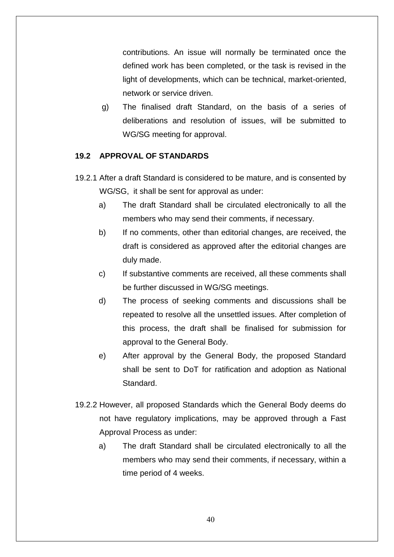contributions. An issue will normally be terminated once the defined work has been completed, or the task is revised in the light of developments, which can be technical, market-oriented, network or service driven.

g) The finalised draft Standard, on the basis of a series of deliberations and resolution of issues, will be submitted to WG/SG meeting for approval.

# <span id="page-39-0"></span>**19.2 APPROVAL OF STANDARDS**

- 19.2.1 After a draft Standard is considered to be mature, and is consented by WG/SG, it shall be sent for approval as under:
	- a) The draft Standard shall be circulated electronically to all the members who may send their comments, if necessary.
	- b) If no comments, other than editorial changes, are received, the draft is considered as approved after the editorial changes are duly made.
	- c) If substantive comments are received, all these comments shall be further discussed in WG/SG meetings.
	- d) The process of seeking comments and discussions shall be repeated to resolve all the unsettled issues. After completion of this process, the draft shall be finalised for submission for approval to the General Body.
	- e) After approval by the General Body, the proposed Standard shall be sent to DoT for ratification and adoption as National Standard.
- 19.2.2 However, all proposed Standards which the General Body deems do not have regulatory implications, may be approved through a Fast Approval Process as under:
	- a) The draft Standard shall be circulated electronically to all the members who may send their comments, if necessary, within a time period of 4 weeks.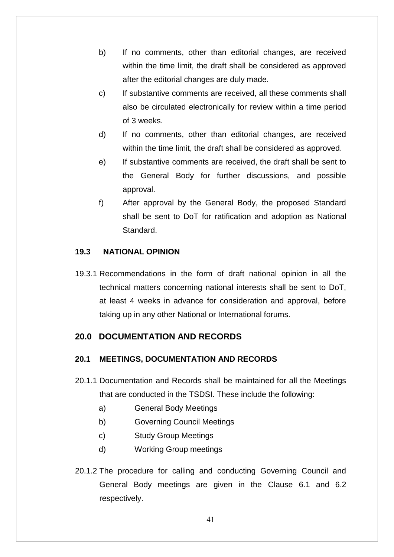- b) If no comments, other than editorial changes, are received within the time limit, the draft shall be considered as approved after the editorial changes are duly made.
- c) If substantive comments are received, all these comments shall also be circulated electronically for review within a time period of 3 weeks.
- d) If no comments, other than editorial changes, are received within the time limit, the draft shall be considered as approved.
- e) If substantive comments are received, the draft shall be sent to the General Body for further discussions, and possible approval.
- f) After approval by the General Body, the proposed Standard shall be sent to DoT for ratification and adoption as National Standard.

# <span id="page-40-0"></span>**19.3 NATIONAL OPINION**

19.3.1 Recommendations in the form of draft national opinion in all the technical matters concerning national interests shall be sent to DoT, at least 4 weeks in advance for consideration and approval, before taking up in any other National or International forums.

# <span id="page-40-1"></span>**20.0 DOCUMENTATION AND RECORDS**

# <span id="page-40-2"></span>**20.1 MEETINGS, DOCUMENTATION AND RECORDS**

- 20.1.1 Documentation and Records shall be maintained for all the Meetings that are conducted in the TSDSI. These include the following:
	- a) General Body Meetings
	- b) Governing Council Meetings
	- c) Study Group Meetings
	- d) Working Group meetings
- 20.1.2 The procedure for calling and conducting Governing Council and General Body meetings are given in the Clause 6.1 and 6.2 respectively.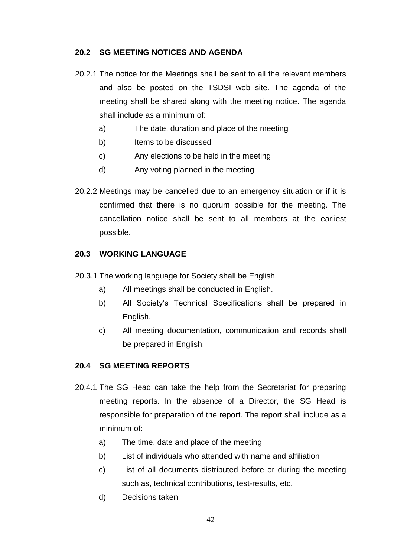# <span id="page-41-0"></span>**20.2 SG MEETING NOTICES AND AGENDA**

- 20.2.1 The notice for the Meetings shall be sent to all the relevant members and also be posted on the TSDSI web site. The agenda of the meeting shall be shared along with the meeting notice. The agenda shall include as a minimum of:
	- a) The date, duration and place of the meeting
	- b) Items to be discussed
	- c) Any elections to be held in the meeting
	- d) Any voting planned in the meeting
- 20.2.2 Meetings may be cancelled due to an emergency situation or if it is confirmed that there is no quorum possible for the meeting. The cancellation notice shall be sent to all members at the earliest possible.

### <span id="page-41-1"></span>**20.3 WORKING LANGUAGE**

- 20.3.1 The working language for Society shall be English.
	- a) All meetings shall be conducted in English.
	- b) All Society"s Technical Specifications shall be prepared in English.
	- c) All meeting documentation, communication and records shall be prepared in English.

### <span id="page-41-2"></span>**20.4 SG MEETING REPORTS**

- 20.4.1 The SG Head can take the help from the Secretariat for preparing meeting reports. In the absence of a Director, the SG Head is responsible for preparation of the report. The report shall include as a minimum of:
	- a) The time, date and place of the meeting
	- b) List of individuals who attended with name and affiliation
	- c) List of all documents distributed before or during the meeting such as, technical contributions, test-results, etc.
	- d) Decisions taken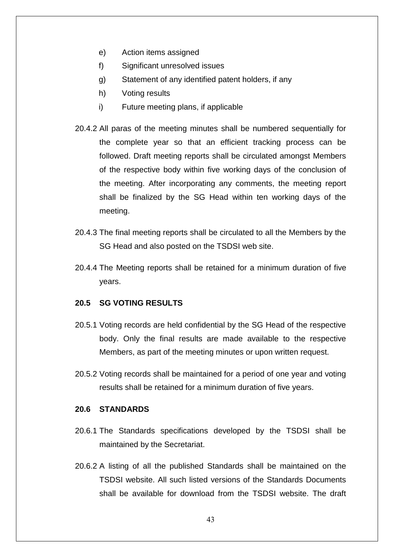- e) Action items assigned
- f) Significant unresolved issues
- g) Statement of any identified patent holders, if any
- h) Voting results
- i) Future meeting plans, if applicable
- 20.4.2 All paras of the meeting minutes shall be numbered sequentially for the complete year so that an efficient tracking process can be followed. Draft meeting reports shall be circulated amongst Members of the respective body within five working days of the conclusion of the meeting. After incorporating any comments, the meeting report shall be finalized by the SG Head within ten working days of the meeting.
- 20.4.3 The final meeting reports shall be circulated to all the Members by the SG Head and also posted on the TSDSI web site.
- 20.4.4 The Meeting reports shall be retained for a minimum duration of five years.

#### <span id="page-42-0"></span>**20.5 SG VOTING RESULTS**

- 20.5.1 Voting records are held confidential by the SG Head of the respective body. Only the final results are made available to the respective Members, as part of the meeting minutes or upon written request.
- 20.5.2 Voting records shall be maintained for a period of one year and voting results shall be retained for a minimum duration of five years.

### <span id="page-42-1"></span>**20.6 STANDARDS**

- 20.6.1 The Standards specifications developed by the TSDSI shall be maintained by the Secretariat.
- 20.6.2 A listing of all the published Standards shall be maintained on the TSDSI website. All such listed versions of the Standards Documents shall be available for download from the TSDSI website. The draft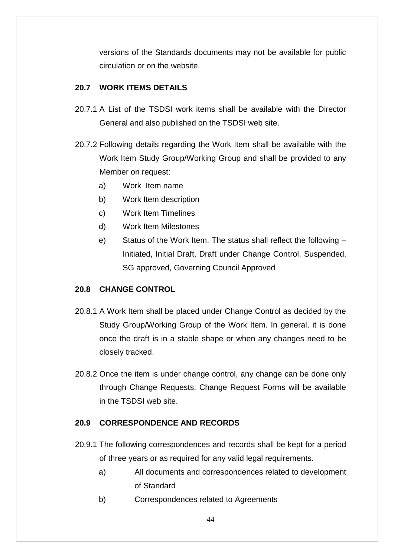versions of the Standards documents may not be available for public circulation or on the website.

# <span id="page-43-0"></span>**20.7 WORK ITEMS DETAILS**

- 20.7.1 A List of the TSDSI work items shall be available with the Director General and also published on the TSDSI web site.
- 20.7.2 Following details regarding the Work Item shall be available with the Work Item Study Group/Working Group and shall be provided to any Member on request:
	- a) Work Item name
	- b) Work Item description
	- c) Work Item Timelines
	- d) Work Item Milestones
	- e) Status of the Work Item. The status shall reflect the following Initiated, Initial Draft, Draft under Change Control, Suspended, SG approved, Governing Council Approved

# <span id="page-43-1"></span>**20.8 CHANGE CONTROL**

- 20.8.1 A Work Item shall be placed under Change Control as decided by the Study Group/Working Group of the Work Item. In general, it is done once the draft is in a stable shape or when any changes need to be closely tracked.
- 20.8.2 Once the item is under change control, any change can be done only through Change Requests. Change Request Forms will be available in the TSDSI web site.

# <span id="page-43-2"></span>**20.9 CORRESPONDENCE AND RECORDS**

- 20.9.1 The following correspondences and records shall be kept for a period of three years or as required for any valid legal requirements.
	- a) All documents and correspondences related to development of Standard
	- b) Correspondences related to Agreements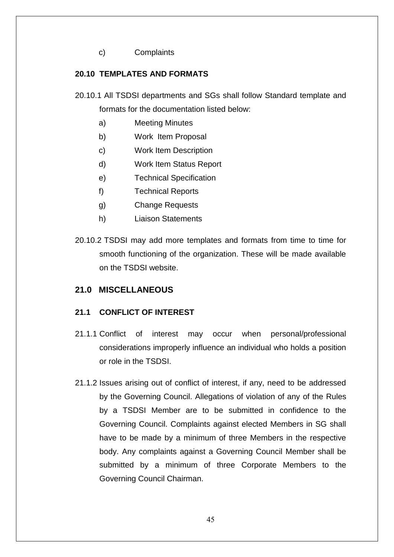c) Complaints

# <span id="page-44-0"></span>**20.10 TEMPLATES AND FORMATS**

- 20.10.1 All TSDSI departments and SGs shall follow Standard template and formats for the documentation listed below:
	- a) Meeting Minutes
	- b) Work Item Proposal
	- c) Work Item Description
	- d) Work Item Status Report
	- e) Technical Specification
	- f) Technical Reports
	- g) Change Requests
	- h) Liaison Statements
- 20.10.2 TSDSI may add more templates and formats from time to time for smooth functioning of the organization. These will be made available on the TSDSI website.

# <span id="page-44-1"></span>**21.0 MISCELLANEOUS**

### <span id="page-44-2"></span>**21.1 CONFLICT OF INTEREST**

- 21.1.1 Conflict of interest may occur when personal/professional considerations improperly influence an individual who holds a position or role in the TSDSI.
- 21.1.2 Issues arising out of conflict of interest, if any, need to be addressed by the Governing Council. Allegations of violation of any of the Rules by a TSDSI Member are to be submitted in confidence to the Governing Council. Complaints against elected Members in SG shall have to be made by a minimum of three Members in the respective body. Any complaints against a Governing Council Member shall be submitted by a minimum of three Corporate Members to the Governing Council Chairman.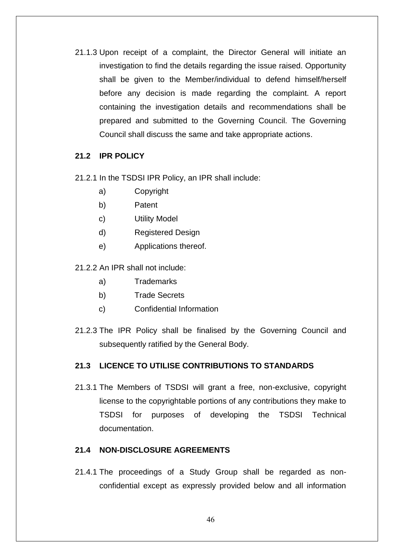21.1.3 Upon receipt of a complaint, the Director General will initiate an investigation to find the details regarding the issue raised. Opportunity shall be given to the Member/individual to defend himself/herself before any decision is made regarding the complaint. A report containing the investigation details and recommendations shall be prepared and submitted to the Governing Council. The Governing Council shall discuss the same and take appropriate actions.

# <span id="page-45-0"></span>**21.2 IPR POLICY**

- 21.2.1 In the TSDSI IPR Policy, an IPR shall include:
	- a) Copyright
	- b) Patent
	- c) Utility Model
	- d) Registered Design
	- e) Applications thereof.

21.2.2 An IPR shall not include:

- a) Trademarks
- b) Trade Secrets
- c) Confidential Information
- 21.2.3 The IPR Policy shall be finalised by the Governing Council and subsequently ratified by the General Body.

# <span id="page-45-1"></span>**21.3 LICENCE TO UTILISE CONTRIBUTIONS TO STANDARDS**

21.3.1 The Members of TSDSI will grant a free, non-exclusive, copyright license to the copyrightable portions of any contributions they make to TSDSI for purposes of developing the TSDSI Technical documentation.

### <span id="page-45-2"></span>**21.4 NON-DISCLOSURE AGREEMENTS**

21.4.1 The proceedings of a Study Group shall be regarded as nonconfidential except as expressly provided below and all information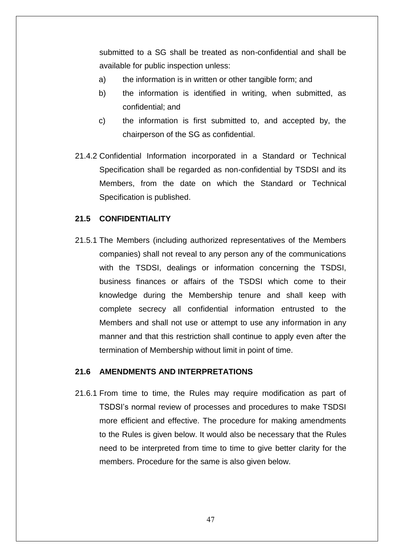submitted to a SG shall be treated as non-confidential and shall be available for public inspection unless:

- a) the information is in written or other tangible form; and
- b) the information is identified in writing, when submitted, as confidential; and
- c) the information is first submitted to, and accepted by, the chairperson of the SG as confidential.
- 21.4.2 Confidential Information incorporated in a Standard or Technical Specification shall be regarded as non-confidential by TSDSI and its Members, from the date on which the Standard or Technical Specification is published.

#### <span id="page-46-0"></span>**21.5 CONFIDENTIALITY**

21.5.1 The Members (including authorized representatives of the Members companies) shall not reveal to any person any of the communications with the TSDSI, dealings or information concerning the TSDSI, business finances or affairs of the TSDSI which come to their knowledge during the Membership tenure and shall keep with complete secrecy all confidential information entrusted to the Members and shall not use or attempt to use any information in any manner and that this restriction shall continue to apply even after the termination of Membership without limit in point of time.

#### <span id="page-46-1"></span>**21.6 AMENDMENTS AND INTERPRETATIONS**

21.6.1 From time to time, the Rules may require modification as part of TSDSI"s normal review of processes and procedures to make TSDSI more efficient and effective. The procedure for making amendments to the Rules is given below. It would also be necessary that the Rules need to be interpreted from time to time to give better clarity for the members. Procedure for the same is also given below.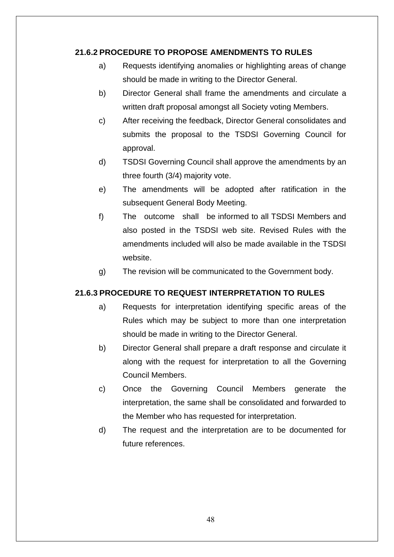# **21.6.2 PROCEDURE TO PROPOSE AMENDMENTS TO RULES**

- a) Requests identifying anomalies or highlighting areas of change should be made in writing to the Director General.
- b) Director General shall frame the amendments and circulate a written draft proposal amongst all Society voting Members.
- c) After receiving the feedback, Director General consolidates and submits the proposal to the TSDSI Governing Council for approval.
- d) TSDSI Governing Council shall approve the amendments by an three fourth (3/4) majority vote.
- e) The amendments will be adopted after ratification in the subsequent General Body Meeting.
- f) The outcome shall be informed to all TSDSI Members and also posted in the TSDSI web site. Revised Rules with the amendments included will also be made available in the TSDSI website.
- g) The revision will be communicated to the Government body.

# **21.6.3 PROCEDURE TO REQUEST INTERPRETATION TO RULES**

- a) Requests for interpretation identifying specific areas of the Rules which may be subject to more than one interpretation should be made in writing to the Director General.
- b) Director General shall prepare a draft response and circulate it along with the request for interpretation to all the Governing Council Members.
- c) Once the Governing Council Members generate the interpretation, the same shall be consolidated and forwarded to the Member who has requested for interpretation.
- d) The request and the interpretation are to be documented for future references.